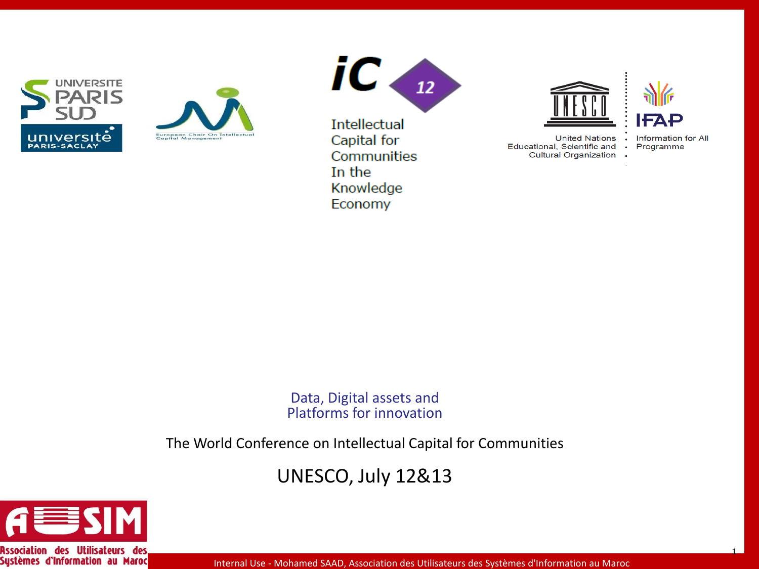





**Intellectual** Capital for Communities In the Knowledge Economy



**United Nations** Educational, Scientific and **Cultural Organization** 

Information for All  $\bullet$ Programme  $\bullet$ 

 $\bullet$ 

1

Data, Digital assets and Platforms for innovation

The World Conference on Intellectual Capital for Communities

UNESCO, July 12&13



**Association des Utilisateurs des Systèmes d'Information au Maroc**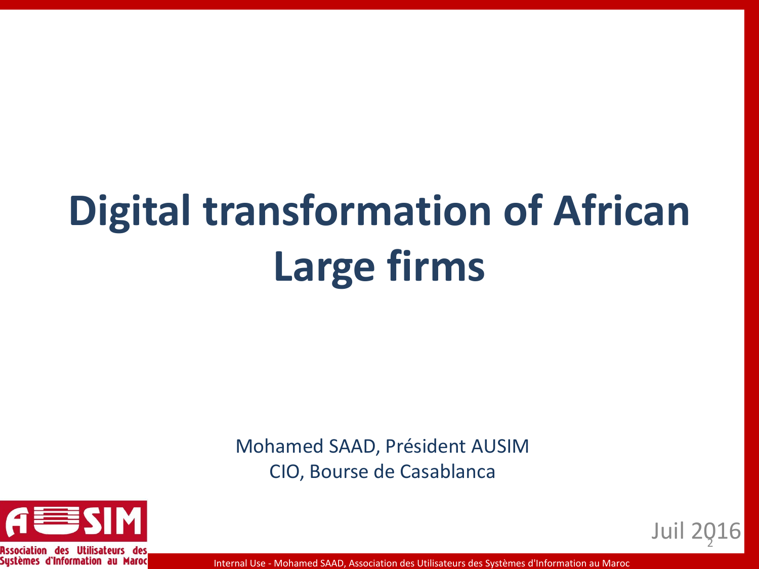# **Digital transformation of African Large firms**

Mohamed SAAD, Président AUSIM CIO, Bourse de Casablanca



Association des Utilisat Sustèmes d'Information au Maroc

Internal Use - Mohamed SAAD, Association des Utilisateurs des Systèmes d'Information au Maroc

Juil 2026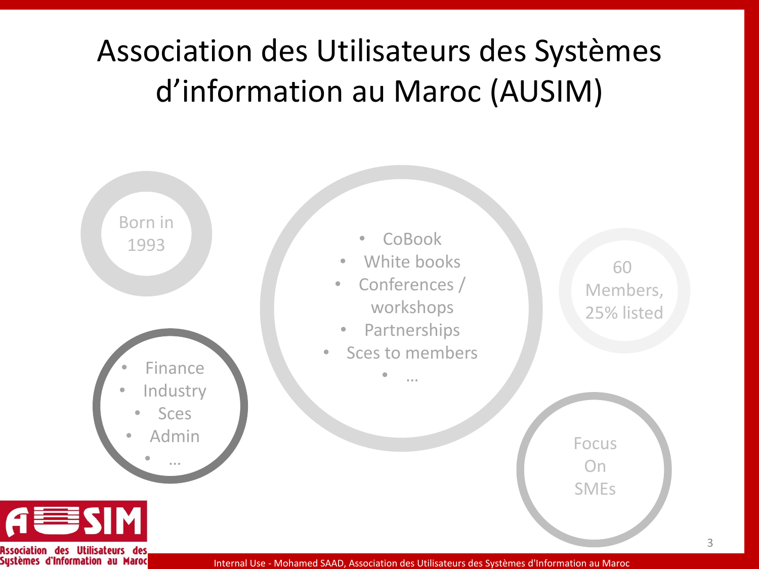### Association des Utilisateurs des Systèmes d'information au Maroc (AUSIM)



**Association des Utilisateurs Systèmes d'Information au Maroc**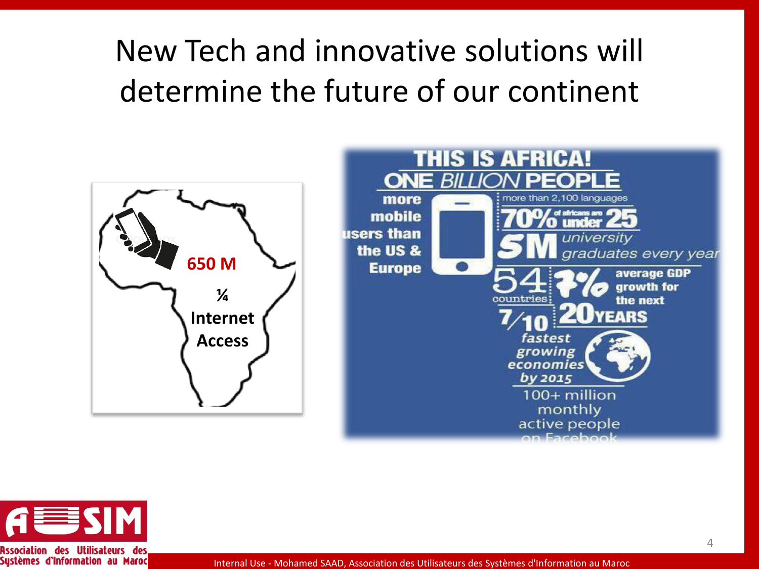### New Tech and innovative solutions will determine the future of our continent





**Systèmes d'Information au Maroc**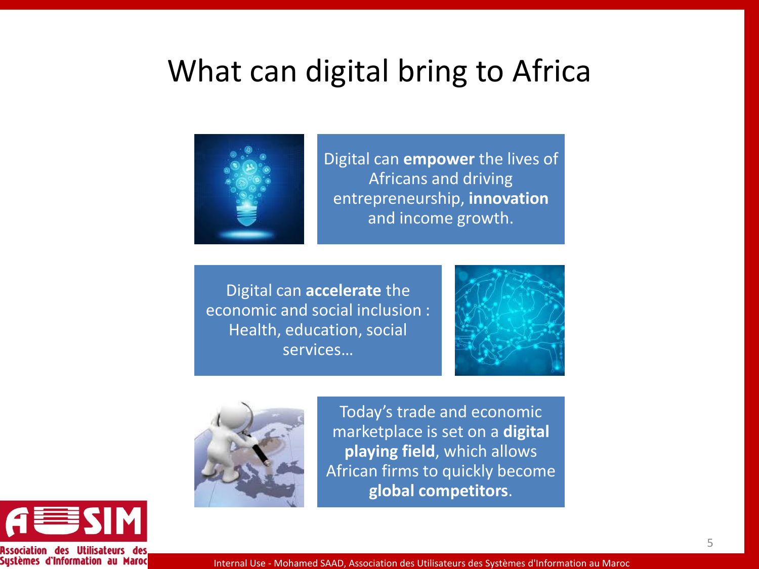#### What can digital bring to Africa



Digital can **empower** the lives of Africans and driving entrepreneurship, **innovation**  and income growth.

Digital can **accelerate** the economic and social inclusion : Health, education, social services…





Today's trade and economic marketplace is set on a **digital playing field**, which allows African firms to quickly become **global competitors**.



**Association des Utilisateurs Systèmes d'Information au Maroc**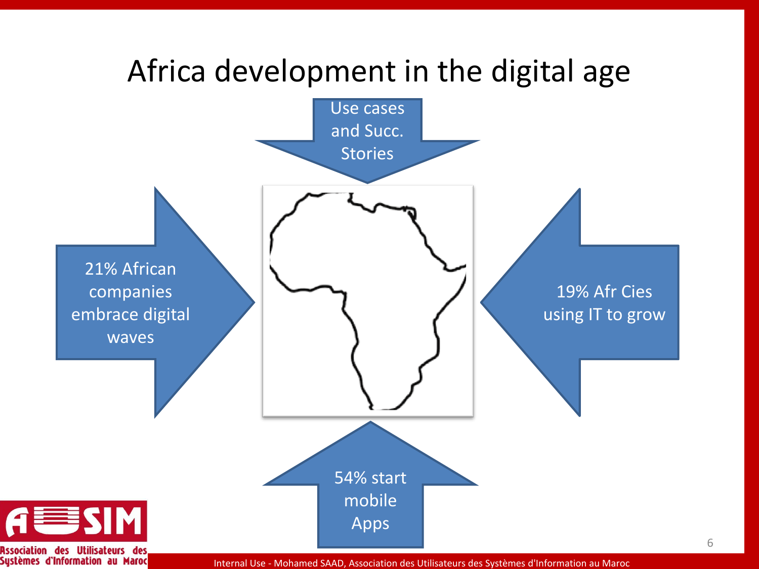



Internal Use - Mohamed SAAD, Association des Utilisateurs des Systèmes d'Information au Maroc

6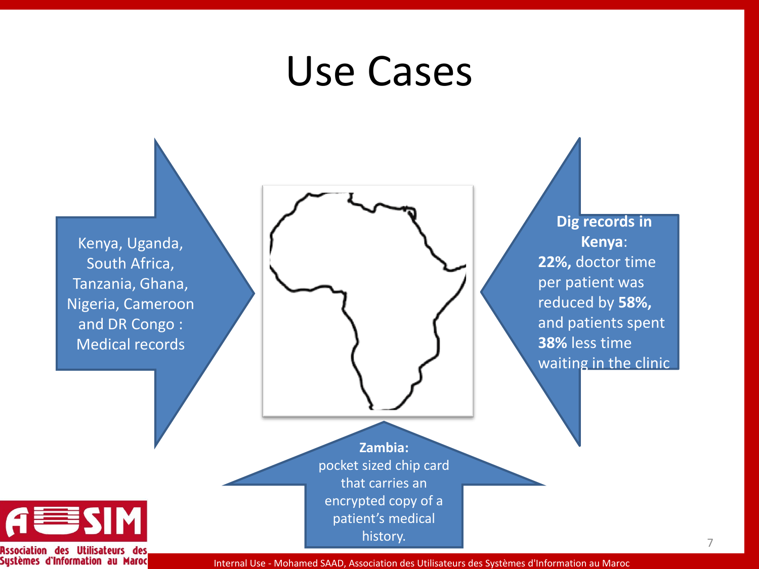## Use Cases



Internal Use - Mohamed SAAD, Association des Utilisateurs des Systèmes d'Information au Maroc

7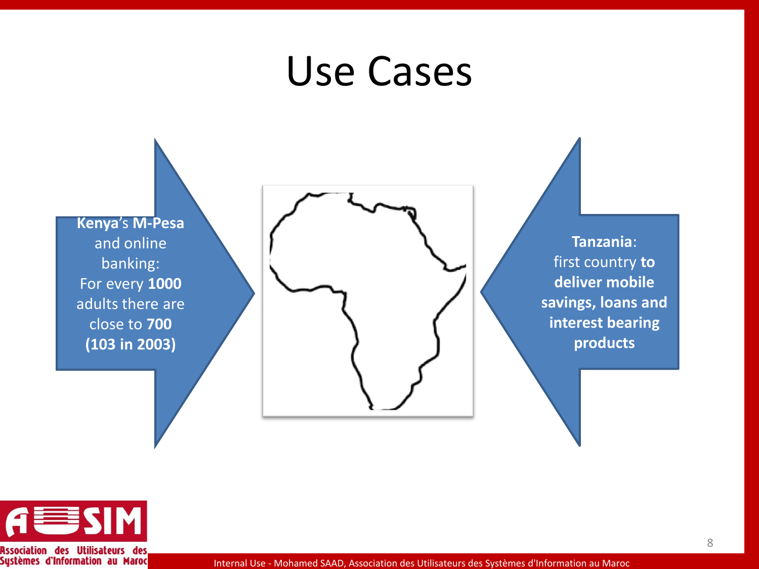## Use Cases

**Kenya**'s **M-Pesa** and online banking: For every **1000**  adults there are close to **700 (103 in 2003)**



**Tanzania**: first country **to deliver mobile savings, loans and interest bearing products**



**Association des Utilisateurs des Systèmes d'Information au Maroc**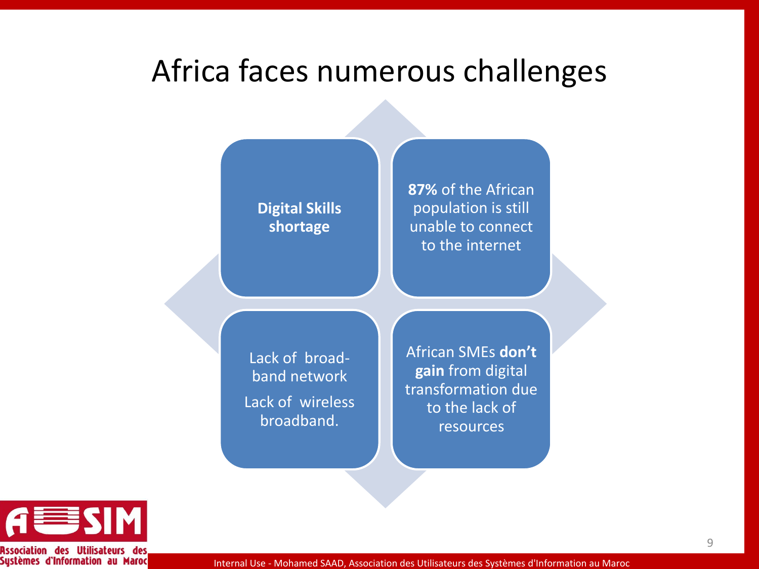#### Africa faces numerous challenges

**Digital Skills shortage**

**87%** of the African population is still unable to connect to the internet

Lack of broadband network Lack of wireless broadband.

African SMEs **don't gain** from digital transformation due to the lack of resources



**Association des Utilisateurs Systèmes d'Information au Maroc**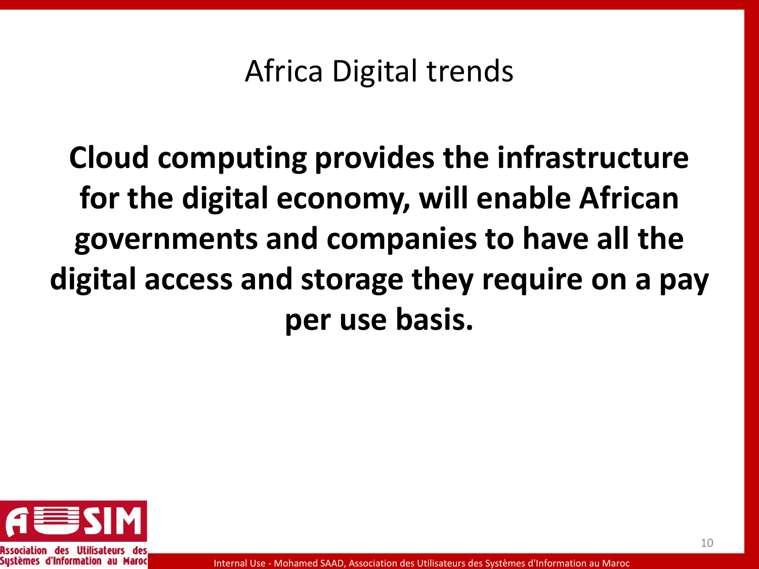#### Africa Digital trends

**Cloud computing provides the infrastructure for the digital economy, will enable African governments and companies to have all the digital access and storage they require on a pay per use basis.**



Sustèmes d'Information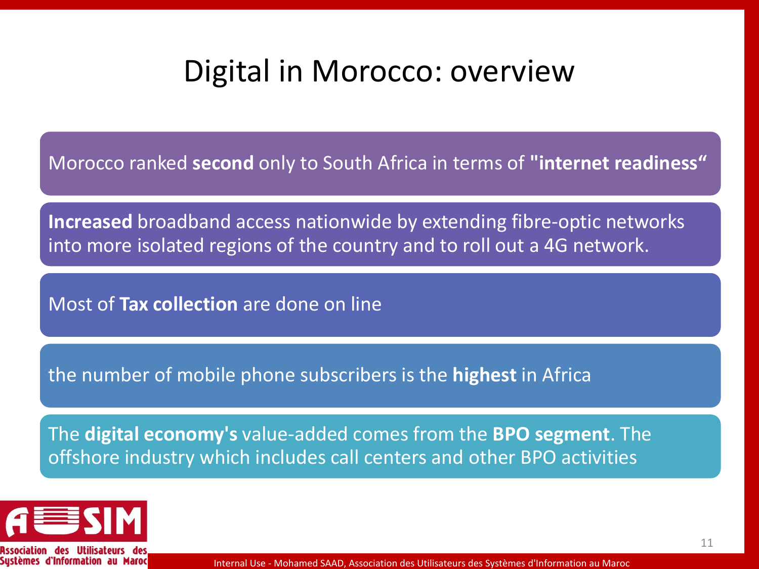#### Digital in Morocco: overview

Morocco ranked **second** only to South Africa in terms of **"internet readiness"**

**Increased** broadband access nationwide by extending fibre-optic networks into more isolated regions of the country and to roll out a 4G network.

Most of **Tax collection** are done on line

the number of mobile phone subscribers is the **highest** in Africa

The **digital economy's** value-added comes from the **BPO segment**. The offshore industry which includes call centers and other BPO activities



Sustèmes d'Information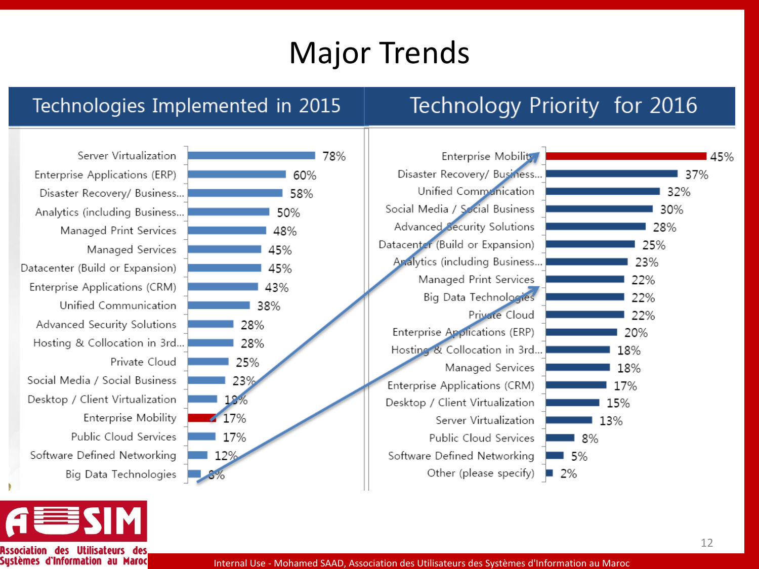#### Major Trends

#### Technologies Implemented in 2015

#### Technology Priority for 2016

Server Virtualization Enterprise Applications (ERP) Disaster Recovery/ Business... Analytics (including Business... Managed Print Services Managed Services Datacenter (Build or Expansion) Enterprise Applications (CRM) Unified Communication Advanced Security Solutions Hosting & Collocation in 3rd... Private Cloud Social Media / Social Business Desktop / Client Virtualization Enterprise Mobility Public Cloud Services Software Defined Networking Big Data Technologies







**Association** Systèmes d'Information au Maroc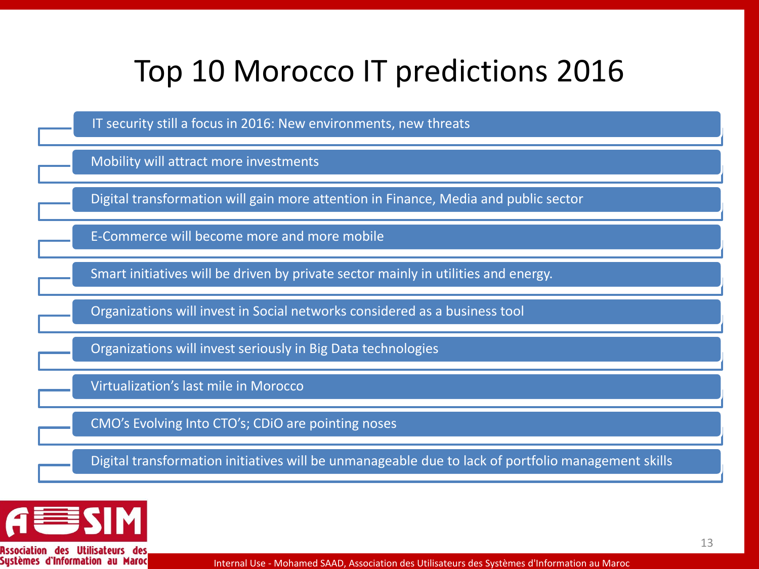#### Top 10 Morocco IT predictions 2016

IT security still a focus in 2016: New environments, new threats

Mobility will attract more investments

Digital transformation will gain more attention in Finance, Media and public sector

E-Commerce will become more and more mobile

Smart initiatives will be driven by private sector mainly in utilities and energy.

Organizations will invest in Social networks considered as a business tool

Organizations will invest seriously in Big Data technologies

Virtualization's last mile in Morocco

CMO's Evolving Into CTO's; CDiO are pointing noses

Digital transformation initiatives will be unmanageable due to lack of portfolio management skills



**Association des Utilis** Sustèmes d'Information au Maroc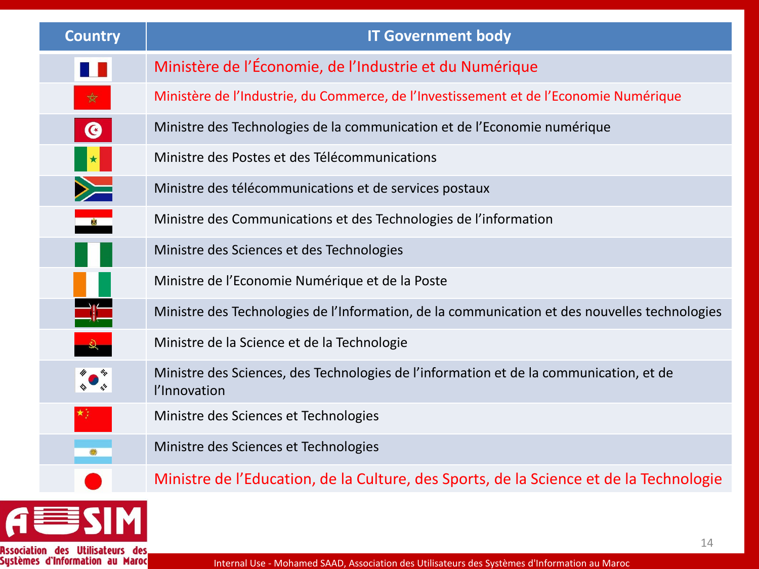| <b>Country</b>       | <b>IT Government body</b>                                                                              |
|----------------------|--------------------------------------------------------------------------------------------------------|
| 11                   | Ministère de l'Économie, de l'Industrie et du Numérique                                                |
| $\frac{1}{\sqrt{2}}$ | Ministère de l'Industrie, du Commerce, de l'Investissement et de l'Economie Numérique                  |
| $\bullet$            | Ministre des Technologies de la communication et de l'Economie numérique                               |
|                      | Ministre des Postes et des Télécommunications                                                          |
|                      | Ministre des télécommunications et de services postaux                                                 |
| $\frac{1}{\sqrt{2}}$ | Ministre des Communications et des Technologies de l'information                                       |
|                      | Ministre des Sciences et des Technologies                                                              |
|                      | Ministre de l'Economie Numérique et de la Poste                                                        |
|                      | Ministre des Technologies de l'Information, de la communication et des nouvelles technologies          |
|                      | Ministre de la Science et de la Technologie                                                            |
|                      | Ministre des Sciences, des Technologies de l'information et de la communication, et de<br>l'Innovation |
|                      | Ministre des Sciences et Technologies                                                                  |
|                      | Ministre des Sciences et Technologies                                                                  |
|                      | Ministre de l'Education, de la Culture, des Sports, de la Science et de la Technologie                 |
|                      |                                                                                                        |

Association des Utilisateurs des<br>Systèmes d'Information au Maroc

E